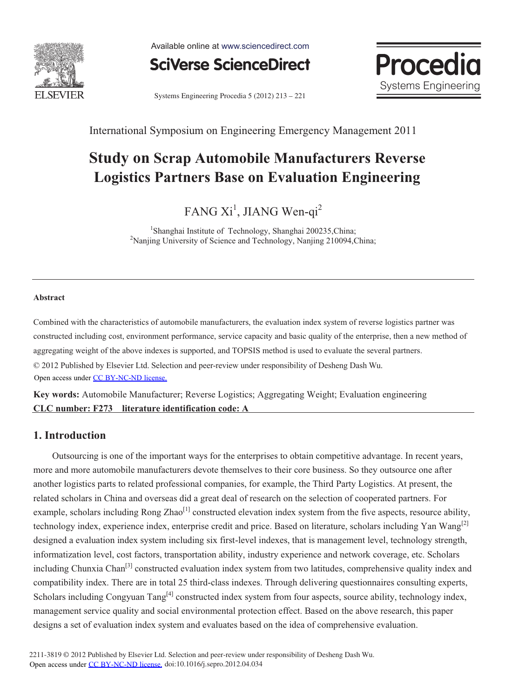

Available online at www.sciencedirect.com



Procedi **Systems Engineering** 

Systems Engineering Procedia 5 (2012) 213 – 221

International Symposium on Engineering Emergency Management 2011

# **Study on Scrap Automobile Manufacturers Reverse Logistics Partners Base on Evaluation Engineering**

FANG  $Xi<sup>1</sup>$ , JIANG Wen-qi<sup>2</sup>

<sup>1</sup>Shanghai Institute of Technology, Shanghai 200235,China;<sup>2</sup>Nanjing Liniversity of Science and Technology, Nanjing 210094 <sup>2</sup>Nanjing University of Science and Technology, Nanjing 210094, China;

### **Abstract**

Combined with the characteristics of automobile manufacturers, the evaluation index system of reverse logistics partner was constructed including cost, environment performance, service capacity and basic quality of the enterprise, then a new method of aggregating weight of the above indexes is supported, and TOPSIS method is used to evaluate the several partners. © 2011 Published by Elsevier Ltd. Selection and peer-review under responsibility of Desheng Dash Wu © 2012 Published by Elsevier Ltd. Selection and peer-review under responsibility of Desheng Dash Wu. Open access under [CC BY-NC-ND license.](http://creativecommons.org/licenses/by-nc-nd/3.0/)

**Key words:** Automobile Manufacturer; Reverse Logistics; Aggregating Weight; Evaluation engineering **CLC number: F273 literature identification code: A**

## **1. Introduction**

Outsourcing is one of the important ways for the enterprises to obtain competitive advantage. In recent years, more and more automobile manufacturers devote themselves to their core business. So they outsource one after another logistics parts to related professional companies, for example, the Third Party Logistics. At present, the related scholars in China and overseas did a great deal of research on the selection of cooperated partners. For example, scholars including Rong  $Zhao<sup>[1]</sup>$  constructed elevation index system from the five aspects, resource ability, technology index, experience index, enterprise credit and price. Based on literature, scholars including Yan Wang[2] designed a evaluation index system including six first-level indexes, that is management level, technology strength, informatization level, cost factors, transportation ability, industry experience and network coverage, etc. Scholars including Chunxia Chan<sup>[3]</sup> constructed evaluation index system from two latitudes, comprehensive quality index and compatibility index. There are in total 25 third-class indexes. Through delivering questionnaires consulting experts, Scholars including Congyuan  $Tang^{[4]}$  constructed index system from four aspects, source ability, technology index, management service quality and social environmental protection effect. Based on the above research, this paper designs a set of evaluation index system and evaluates based on the idea of comprehensive evaluation.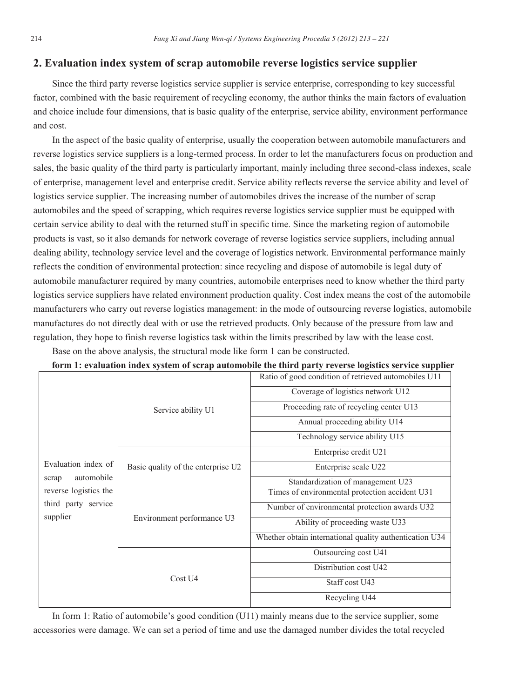### **2. Evaluation index system of scrap automobile reverse logistics service supplier**

Since the third party reverse logistics service supplier is service enterprise, corresponding to key successful factor, combined with the basic requirement of recycling economy, the author thinks the main factors of evaluation and choice include four dimensions, that is basic quality of the enterprise, service ability, environment performance and cost.

In the aspect of the basic quality of enterprise, usually the cooperation between automobile manufacturers and reverse logistics service suppliers is a long-termed process. In order to let the manufacturers focus on production and sales, the basic quality of the third party is particularly important, mainly including three second-class indexes, scale of enterprise, management level and enterprise credit. Service ability reflects reverse the service ability and level of logistics service supplier. The increasing number of automobiles drives the increase of the number of scrap automobiles and the speed of scrapping, which requires reverse logistics service supplier must be equipped with certain service ability to deal with the returned stuff in specific time. Since the marketing region of automobile products is vast, so it also demands for network coverage of reverse logistics service suppliers, including annual dealing ability, technology service level and the coverage of logistics network. Environmental performance mainly reflects the condition of environmental protection: since recycling and dispose of automobile is legal duty of automobile manufacturer required by many countries, automobile enterprises need to know whether the third party logistics service suppliers have related environment production quality. Cost index means the cost of the automobile manufacturers who carry out reverse logistics management: in the mode of outsourcing reverse logistics, automobile manufactures do not directly deal with or use the retrieved products. Only because of the pressure from law and regulation, they hope to finish reverse logistics task within the limits prescribed by law with the lease cost.

Base on the above analysis, the structural mode like form 1 can be constructed.

#### **form 1: evaluation index system of scrap automobile the third party reverse logistics service supplier**

| Evaluation index of<br>automobile<br>scrap<br>reverse logistics the<br>third party service<br>supplier | Service ability U1                 | Ratio of good condition of retrieved automobiles U11    |
|--------------------------------------------------------------------------------------------------------|------------------------------------|---------------------------------------------------------|
|                                                                                                        |                                    | Coverage of logistics network U12                       |
|                                                                                                        |                                    | Proceeding rate of recycling center U13                 |
|                                                                                                        |                                    | Annual proceeding ability U14                           |
|                                                                                                        |                                    | Technology service ability U15                          |
|                                                                                                        | Basic quality of the enterprise U2 | Enterprise credit U21                                   |
|                                                                                                        |                                    | Enterprise scale U22                                    |
|                                                                                                        |                                    | Standardization of management U23                       |
|                                                                                                        | Environment performance U3         | Times of environmental protection accident U31          |
|                                                                                                        |                                    | Number of environmental protection awards U32           |
|                                                                                                        |                                    | Ability of proceeding waste U33                         |
|                                                                                                        |                                    | Whether obtain international quality authentication U34 |
|                                                                                                        | Cost U4                            | Outsourcing cost U41                                    |
|                                                                                                        |                                    | Distribution cost U42                                   |
|                                                                                                        |                                    | Staff cost U43                                          |
|                                                                                                        |                                    | Recycling U44                                           |

In form 1: Ratio of automobile's good condition (U11) mainly means due to the service supplier, some accessories were damage. We can set a period of time and use the damaged number divides the total recycled